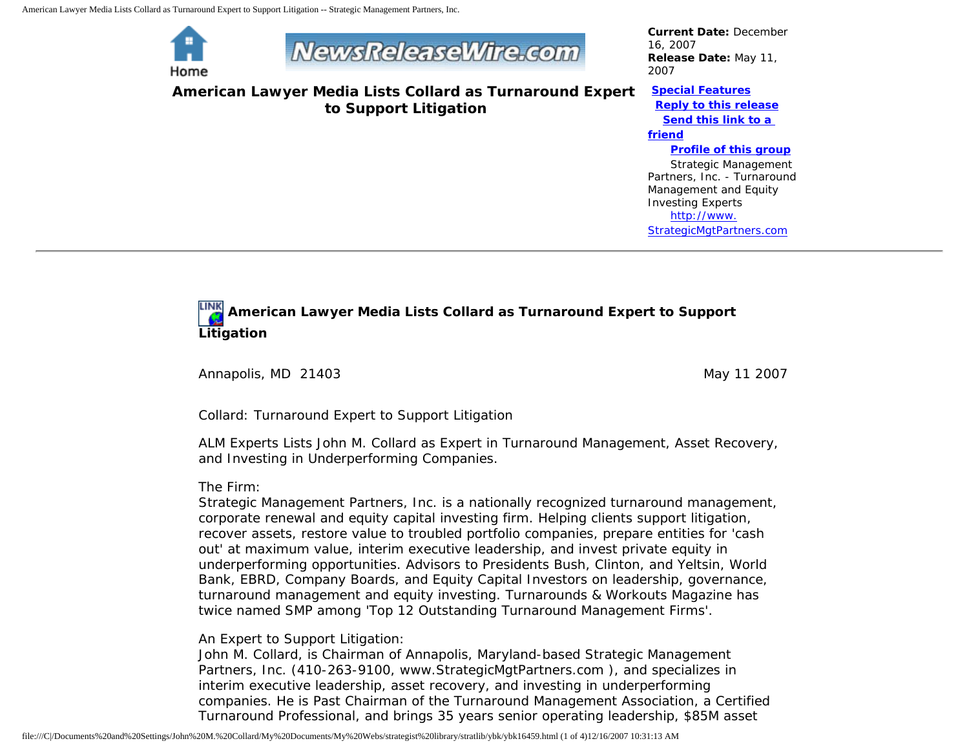American Lawyer Media Lists Collard as Turnaround Expert to Support Litigation -- Strategic Management Partners, Inc.



# **NewsReleaseWire.com**

**American Lawyer Media Lists Collard as Turnaround Expert to Support Litigation**

*Current Date:* December 16, 2007 *Release Date:* May 11, 2007

#### **[Special Features](javascript:openlittleme() [Reply to this release](file:///C|/Documents%20and%20Settings/John%20M.%20Collard/My%20Documents/My%20Webs/strategist%20library/stratlib/ybk/default.cfm?Action=ReplyRelease&Id=16459)**

**[Send this link to a](file:///C|/Documents%20and%20Settings/John%20M.%20Collard/My%20Documents/My%20Webs/strategist%20library/stratlib/ybk/default.cfm?Action=SendLink&SendId=16459)** 

#### **[friend](file:///C|/Documents%20and%20Settings/John%20M.%20Collard/My%20Documents/My%20Webs/strategist%20library/stratlib/ybk/default.cfm?Action=SendLink&SendId=16459)**

#### **[Profile of this group](file:///C|/Documents%20and%20Settings/John%20M.%20Collard/My%20Documents/My%20Webs/strategist%20library/stratlib/ybk/default.cfm?Action=Profile&ProfileId=623)**

 Strategic Management Partners, Inc. - Turnaround Management and Equity Investing Experts [http://www.](http://www.strategicmgtpartners.com/) [StrategicMgtPartners.com](http://www.strategicmgtpartners.com/)

# **American Lawyer Media Lists Collard as Turnaround Expert to Support Litigation**

Annapolis, MD 21403 May 11 2007

Collard: Turnaround Expert to Support Litigation

ALM Experts Lists John M. Collard as Expert in Turnaround Management, Asset Recovery, and Investing in Underperforming Companies.

### The Firm:

Strategic Management Partners, Inc. is a nationally recognized turnaround management, corporate renewal and equity capital investing firm. Helping clients support litigation, recover assets, restore value to troubled portfolio companies, prepare entities for 'cash out' at maximum value, interim executive leadership, and invest private equity in underperforming opportunities. Advisors to Presidents Bush, Clinton, and Yeltsin, World Bank, EBRD, Company Boards, and Equity Capital Investors on leadership, governance, turnaround management and equity investing. Turnarounds & Workouts Magazine has twice named SMP among 'Top 12 Outstanding Turnaround Management Firms'.

## An Expert to Support Litigation:

John M. Collard, is Chairman of Annapolis, Maryland-based Strategic Management Partners, Inc. (410-263-9100, www.StrategicMgtPartners.com ), and specializes in interim executive leadership, asset recovery, and investing in underperforming companies. He is Past Chairman of the Turnaround Management Association, a Certified Turnaround Professional, and brings 35 years senior operating leadership, \$85M asset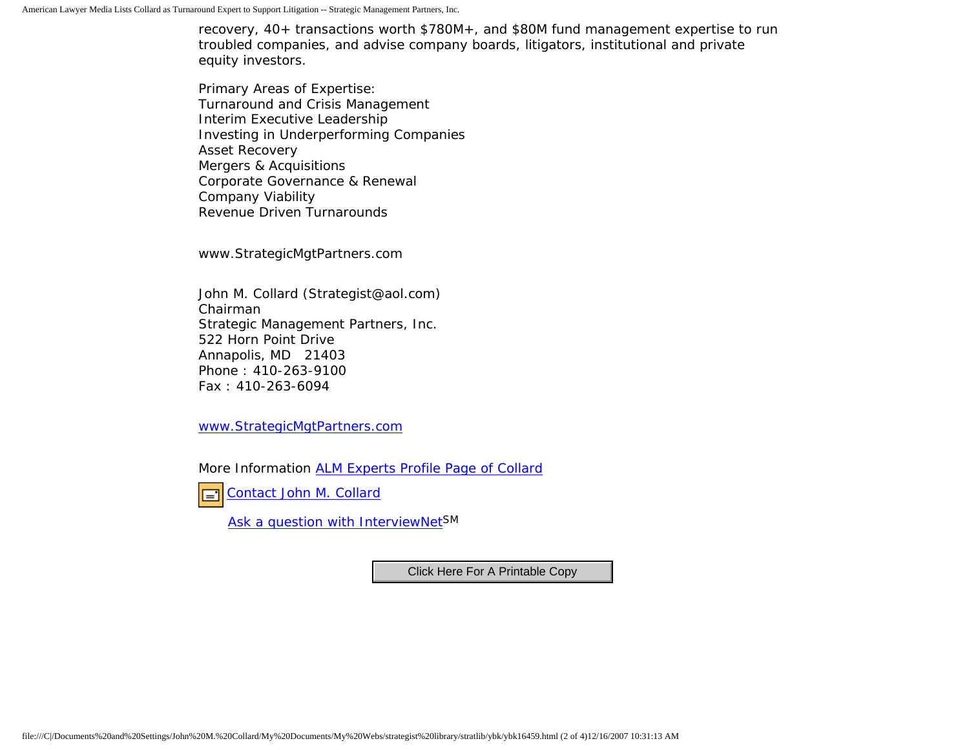recovery, 40+ transactions worth \$780M+, and \$80M fund management expertise to run troubled companies, and advise company boards, litigators, institutional and private equity investors.

Primary Areas of Expertise: Turnaround and Crisis Management Interim Executive Leadership Investing in Underperforming Companies Asset Recovery Mergers & Acquisitions Corporate Governance & Renewal Company Viability Revenue Driven Turnarounds

www.StrategicMgtPartners.com

John M. Collard (Strategist@aol.com) Chairman Strategic Management Partners, Inc. 522 Horn Point Drive Annapolis, MD 21403 Phone : 410-263-9100 Fax : 410-263-6094

[www.StrategicMgtPartners.com](http://www.strategicmgtpartners.com/)

More Information [ALM Experts Profile Page of Collard](http://www.almexperts.com/ExpertWitness/experts_and_consultants/expert/5240329.html)

[Contact John M. Collard](http://www.expertclick.com/expertClick/contact/default.cfm?Action=ContactExpert&GroupID=1016)  $\Box$ 

[Ask a question with InterviewNetS](http://www.expertclick.com/expertClick/contact/default.cfm?GroupID=1016)M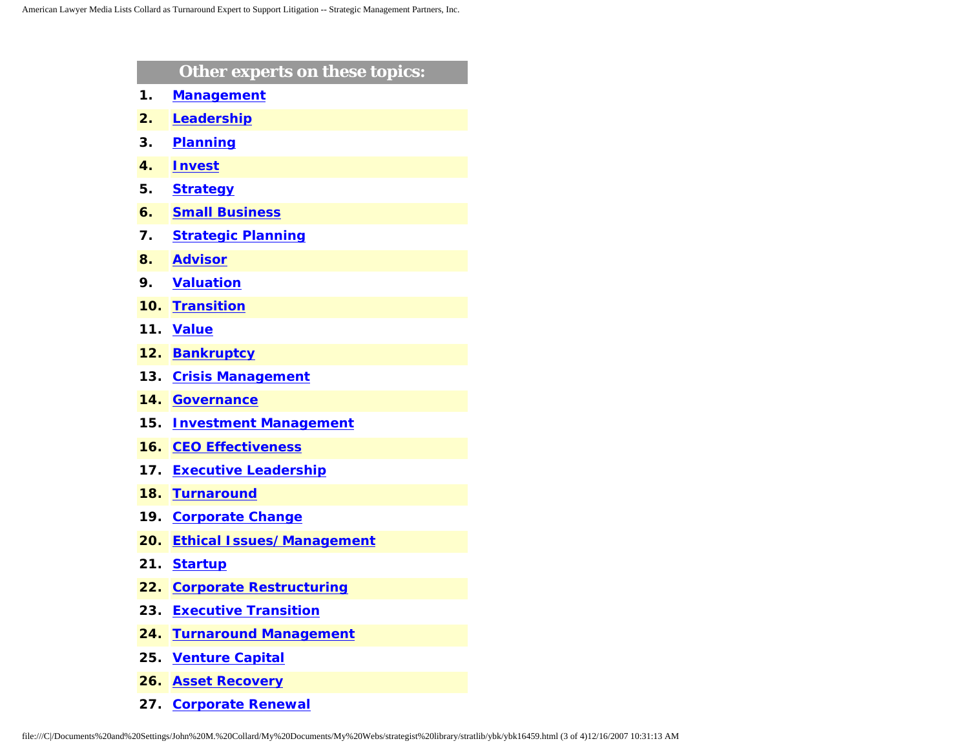|     | Other experts on these topics:   |
|-----|----------------------------------|
| 1.  | <b>Management</b>                |
| 2.  | Leadership                       |
| 3.  | <b>Planning</b>                  |
| 4.  | <b>Invest</b>                    |
| 5.  | <b>Strategy</b>                  |
| 6.  | <b>Small Business</b>            |
| 7.  | <b>Strategic Planning</b>        |
| 8.  | <b>Advisor</b>                   |
| 9.  | <b>Valuation</b>                 |
| 10. | <b>Transition</b>                |
| 11. | <b>Value</b>                     |
| 12. | <b>Bankruptcy</b>                |
| 13. | <b>Crisis Management</b>         |
| 14. | <b>Governance</b>                |
| 15. | <b>Investment Management</b>     |
| 16. | <b>CEO Effectiveness</b>         |
| 17. | <b>Executive Leadership</b>      |
| 18. | <b>Turnaround</b>                |
| 19. | <b>Corporate Change</b>          |
| 20. | <b>Ethical Issues/Management</b> |
| 21. | <b>Startup</b>                   |
| 22. | <b>Corporate Restructuring</b>   |
| 23. | <b>Executive Transition</b>      |
| 24. | <b>Turnaround Management</b>     |
| 25. | <b>Venture Capital</b>           |
| 26. | <b>Asset Recovery</b>            |

**27. [Corporate Renewal](http://www.expertclick.com/search/default.cfm?SearchCriteria=Corporate Renewal)**